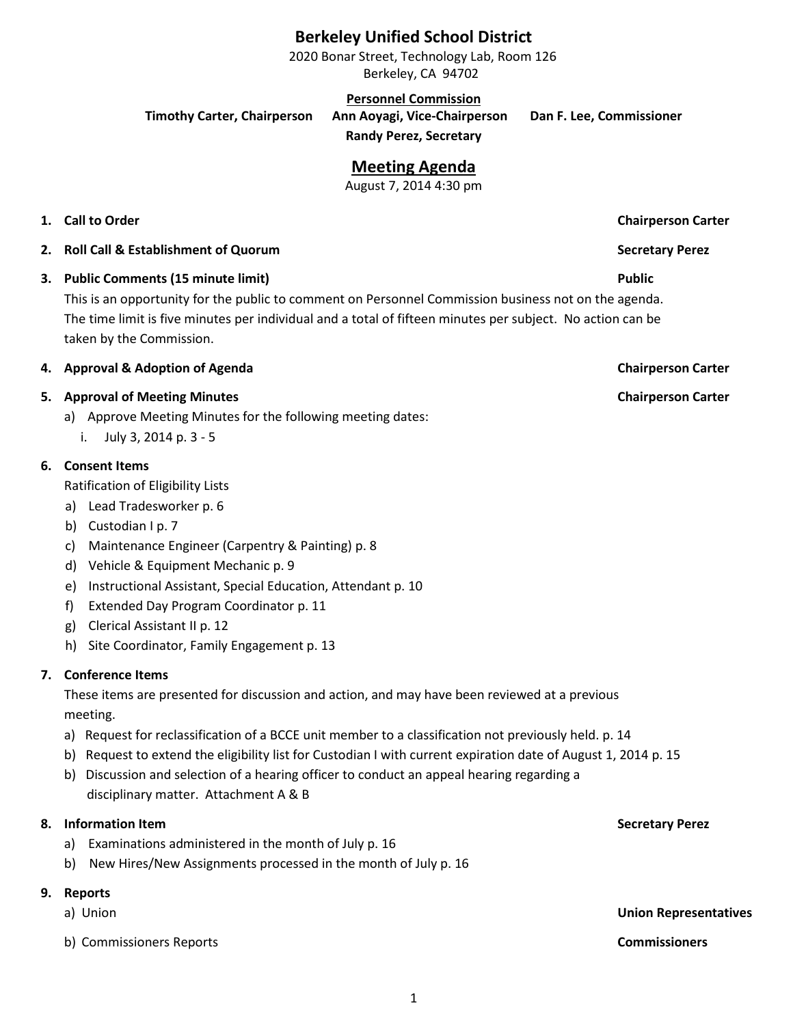# **Berkeley Unified School District**

2020 Bonar Street, Technology Lab, Room 126 Berkeley, CA 94702

**Personnel Commission**

**Timothy Carter, Chairperson Ann Aoyagi, Vice-Chairperson Dan F. Lee, Commissioner**

**Randy Perez, Secretary**

# **Meeting Agenda**

August 7, 2014 4:30 pm

# **1. Call to Order Chairperson Carter**

- **2. Roll Call & Establishment of Quorum Secretary Perez**
- **3. Public Comments (15 minute limit) Public**

This is an opportunity for the public to comment on Personnel Commission business not on the agenda. The time limit is five minutes per individual and a total of fifteen minutes per subject. No action can be taken by the Commission.

### **4. Approval & Adoption of Agenda Chairperson Carter**

# **5. Approval of Meeting Minutes Chairperson Carter**

- a) Approve Meeting Minutes for the following meeting dates:
	- i. July 3, 2014 p. 3 5

### **6. Consent Items**

- Ratification of Eligibility Lists
- a) Lead Tradesworker p. 6
- b) Custodian I p. 7
- c) Maintenance Engineer (Carpentry & Painting) p. 8
- d) Vehicle & Equipment Mechanic p. 9
- e) Instructional Assistant, Special Education, Attendant p. 10
- f) Extended Day Program Coordinator p. 11
- g) Clerical Assistant II p. 12
- h) Site Coordinator, Family Engagement p. 13

### **7. Conference Items**

These items are presented for discussion and action, and may have been reviewed at a previous meeting.

- a) Request for reclassification of a BCCE unit member to a classification not previously held. p. 14
- b) Request to extend the eligibility list for Custodian I with current expiration date of August 1, 2014 p. 15
- b) Discussion and selection of a hearing officer to conduct an appeal hearing regarding a disciplinary matter. Attachment A & B

### **8. Information Item Secretary Perez**

- a) Examinations administered in the month of July p. 16
- b) New Hires/New Assignments processed in the month of July p. 16

### **9. Reports**

- 
- b) Commissioners Reports **Commissioners**

a) Union **Union Representatives**